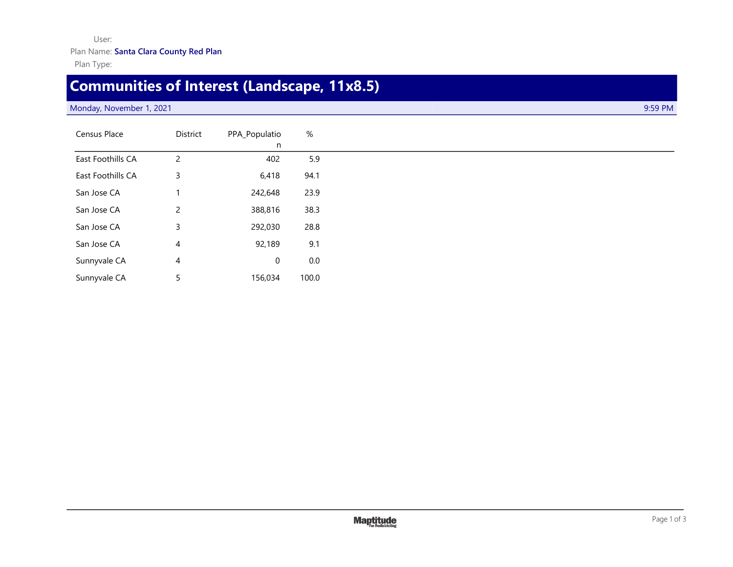## User: Plan Name: **Santa Clara County Red Plan** Plan Type:

## **Communities of Interest (Landscape, 11x8.5)**

## Monday, November 1, 2021 **9:59 PM**

| Census Place      | <b>District</b> | PPA_Populatio | %     |
|-------------------|-----------------|---------------|-------|
|                   |                 | n             |       |
| East Foothills CA | $\overline{2}$  | 402           | 5.9   |
| East Foothills CA | 3               | 6,418         | 94.1  |
| San Jose CA       | 1               | 242,648       | 23.9  |
| San Jose CA       | $\overline{2}$  | 388,816       | 38.3  |
| San Jose CA       | 3               | 292,030       | 28.8  |
| San Jose CA       | $\overline{4}$  | 92,189        | 9.1   |
| Sunnyvale CA      | $\overline{4}$  | 0             | 0.0   |
| Sunnyvale CA      | 5               | 156,034       | 100.0 |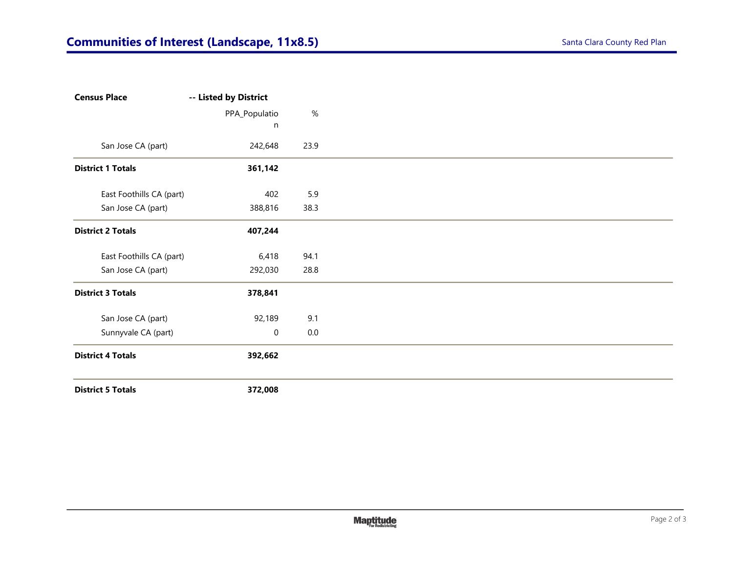| -- Listed by District             |         |
|-----------------------------------|---------|
| PPA_Populatio                     | $\%$    |
| n                                 |         |
| 242,648                           | 23.9    |
| 361,142                           |         |
| East Foothills CA (part)<br>402   | 5.9     |
| 388,816                           | 38.3    |
| 407,244                           |         |
| East Foothills CA (part)<br>6,418 | 94.1    |
| 292,030                           | 28.8    |
| 378,841                           |         |
| 92,189                            | 9.1     |
| $\mathbf 0$                       | $0.0\,$ |
| 392,662                           |         |
|                                   |         |
|                                   | 372,008 |